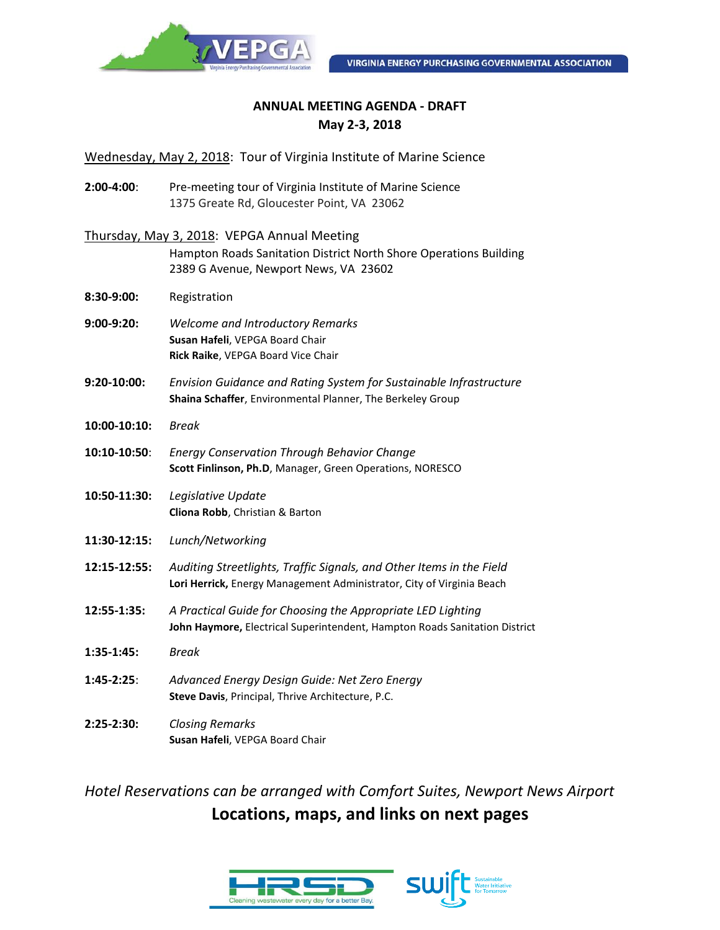

#### **ANNUAL MEETING AGENDA - DRAFT May 2-3, 2018**

Wednesday, May 2, 2018: Tour of Virginia Institute of Marine Science

**2:00-4:00**: Pre-meeting tour of Virginia Institute of Marine Science 1375 Greate Rd, Gloucester Point, VA 23062

| Thursday, May 3, 2018: VEPGA Annual Meeting |  |
|---------------------------------------------|--|
|---------------------------------------------|--|

Hampton Roads Sanitation District North Shore Operations Building 2389 G Avenue, Newport News, VA 23602

- **8:30-9:00:** Registration
- **9:00-9:20:** *Welcome and Introductory Remarks* **Susan Hafeli**, VEPGA Board Chair **Rick Raike**, VEPGA Board Vice Chair
- **9:20-10:00:** *Envision Guidance and Rating System for Sustainable Infrastructure* **Shaina Schaffer**, Environmental Planner, The Berkeley Group
- **10:00-10:10:** *Break*

**10:10-10:50**: *Energy Conservation Through Behavior Change* **Scott Finlinson, Ph.D**, Manager, Green Operations, NORESCO

- **10:50-11:30:** *Legislative Update* **Cliona Robb**, Christian & Barton
- **11:30-12:15:** *Lunch/Networking*
- **12:15-12:55:** *Auditing Streetlights, Traffic Signals, and Other Items in the Field* **Lori Herrick,** Energy Management Administrator, City of Virginia Beach
- **12:55-1:35:** *A Practical Guide for Choosing the Appropriate LED Lighting* **John Haymore,** Electrical Superintendent, Hampton Roads Sanitation District
- **1:35-1:45:** *Break*
- **1:45-2:25**: *Advanced Energy Design Guide: Net Zero Energy* **Steve Davis**, Principal, Thrive Architecture, P.C.
- **2:25-2:30:** *Closing Remarks* **Susan Hafeli**, VEPGA Board Chair

*Hotel Reservations can be arranged with Comfort Suites, Newport News Airport* **Locations, maps, and links on next pages**

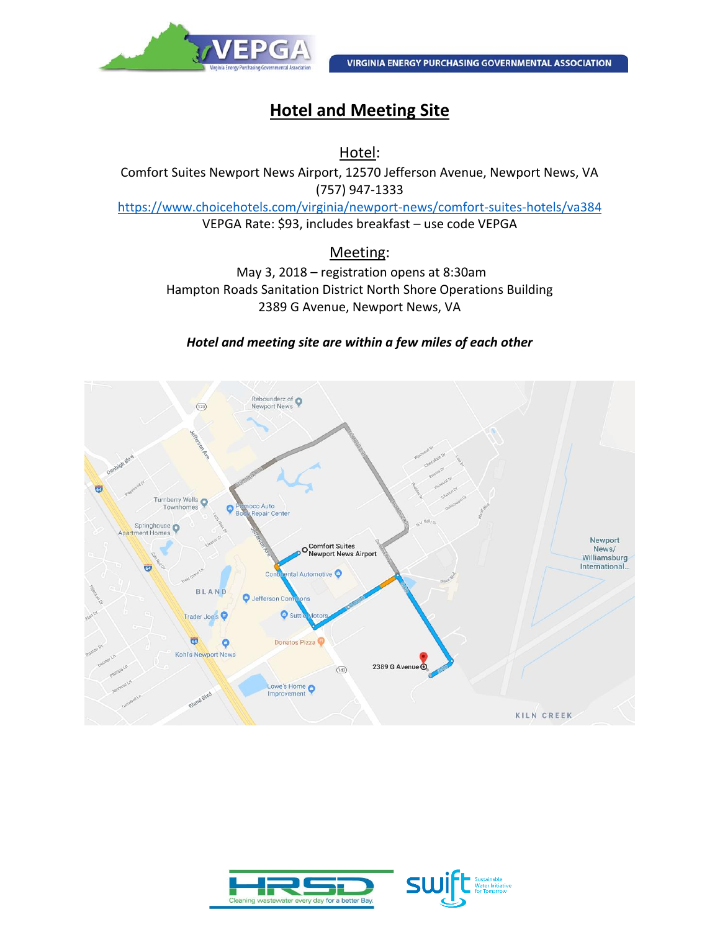

# **Hotel and Meeting Site**

Hotel:

Comfort Suites Newport News Airport, 12570 Jefferson Avenue, Newport News, VA (757) 947-1333 <https://www.choicehotels.com/virginia/newport-news/comfort-suites-hotels/va384> VEPGA Rate: \$93, includes breakfast – use code VEPGA

### Meeting:

May 3, 2018 – registration opens at 8:30am Hampton Roads Sanitation District North Shore Operations Building 2389 G Avenue, Newport News, VA

#### *Hotel and meeting site are within a few miles of each other*